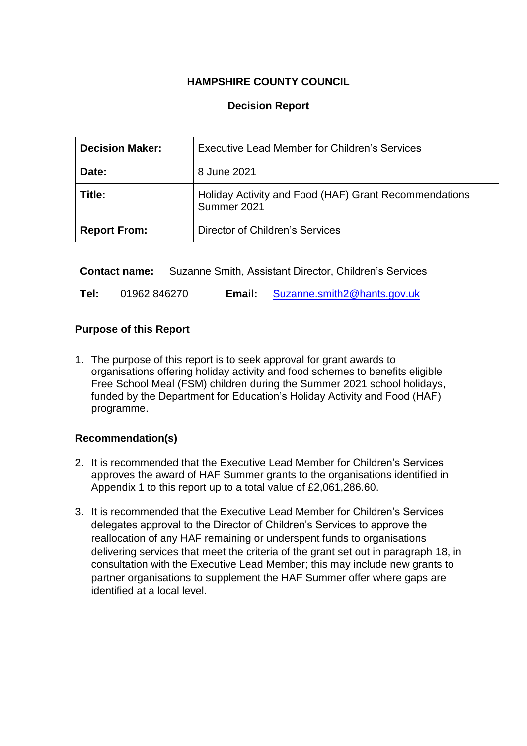## **HAMPSHIRE COUNTY COUNCIL**

## **Decision Report**

| <b>Decision Maker:</b> | <b>Executive Lead Member for Children's Services</b>                 |
|------------------------|----------------------------------------------------------------------|
| Date:                  | 8 June 2021                                                          |
| Title:                 | Holiday Activity and Food (HAF) Grant Recommendations<br>Summer 2021 |
| <b>Report From:</b>    | Director of Children's Services                                      |

**Contact name:** Suzanne Smith, Assistant Director, Children's Services

**Tel:** 01962 846270 **Email:** [Suzanne.smith2@hants.gov.uk](mailto:Suzanne.smith2@hants.gov.uk)

### **Purpose of this Report**

1. The purpose of this report is to seek approval for grant awards to organisations offering holiday activity and food schemes to benefits eligible Free School Meal (FSM) children during the Summer 2021 school holidays, funded by the Department for Education's Holiday Activity and Food (HAF) programme.

### **Recommendation(s)**

- 2. It is recommended that the Executive Lead Member for Children's Services approves the award of HAF Summer grants to the organisations identified in Appendix 1 to this report up to a total value of £2,061,286.60.
- 3. It is recommended that the Executive Lead Member for Children's Services delegates approval to the Director of Children's Services to approve the reallocation of any HAF remaining or underspent funds to organisations delivering services that meet the criteria of the grant set out in paragraph 18, in consultation with the Executive Lead Member; this may include new grants to partner organisations to supplement the HAF Summer offer where gaps are identified at a local level.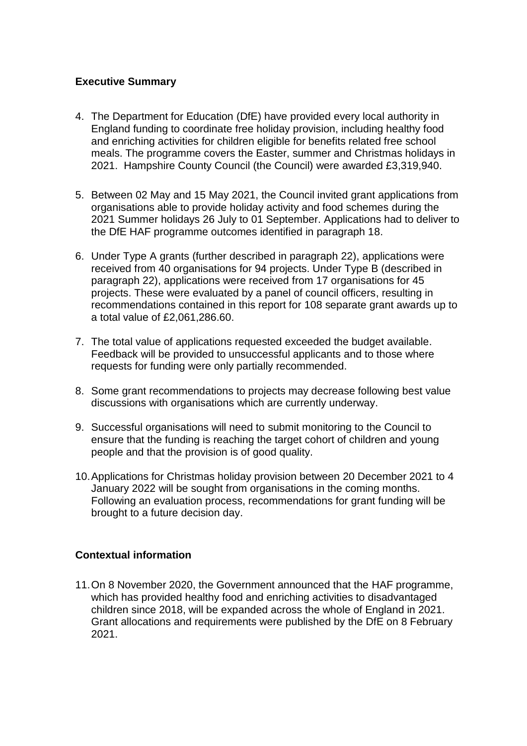### **Executive Summary**

- 4. The Department for Education (DfE) have provided every local authority in England funding to coordinate free holiday provision, including healthy food and enriching activities for children eligible for benefits related free school meals. The programme covers the Easter, summer and Christmas holidays in 2021. Hampshire County Council (the Council) were awarded £3,319,940.
- 5. Between 02 May and 15 May 2021, the Council invited grant applications from organisations able to provide holiday activity and food schemes during the 2021 Summer holidays 26 July to 01 September. Applications had to deliver to the DfE HAF programme outcomes identified in paragraph 18.
- 6. Under Type A grants (further described in paragraph 22), applications were received from 40 organisations for 94 projects. Under Type B (described in paragraph 22), applications were received from 17 organisations for 45 projects. These were evaluated by a panel of council officers, resulting in recommendations contained in this report for 108 separate grant awards up to a total value of £2,061,286.60.
- 7. The total value of applications requested exceeded the budget available. Feedback will be provided to unsuccessful applicants and to those where requests for funding were only partially recommended.
- 8. Some grant recommendations to projects may decrease following best value discussions with organisations which are currently underway.
- 9. Successful organisations will need to submit monitoring to the Council to ensure that the funding is reaching the target cohort of children and young people and that the provision is of good quality.
- 10.Applications for Christmas holiday provision between 20 December 2021 to 4 January 2022 will be sought from organisations in the coming months. Following an evaluation process, recommendations for grant funding will be brought to a future decision day.

### **Contextual information**

11.On 8 November 2020, the Government announced that the HAF programme, which has provided healthy food and enriching activities to disadvantaged children since 2018, will be expanded across the whole of England in 2021. Grant allocations and requirements were published by the DfE on 8 February 2021.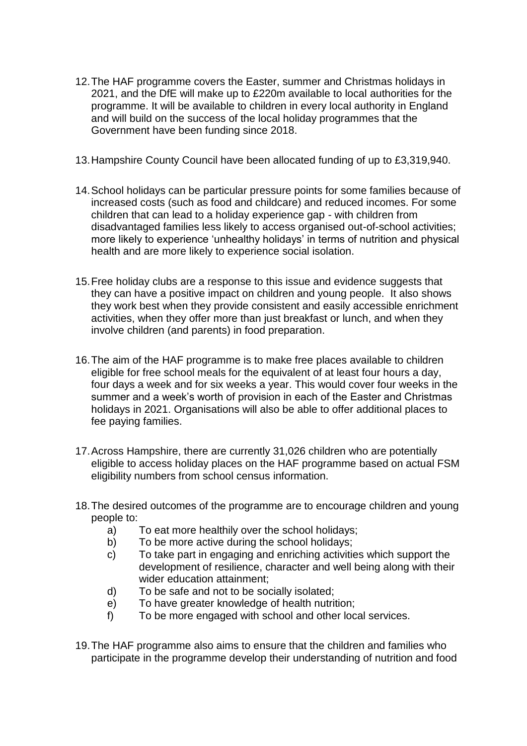- 12.The HAF programme covers the Easter, summer and Christmas holidays in 2021, and the DfE will make up to £220m available to local authorities for the programme. It will be available to children in every local authority in England and will build on the success of the local holiday programmes that the Government have been funding since 2018.
- 13.Hampshire County Council have been allocated funding of up to £3,319,940.
- 14.School holidays can be particular pressure points for some families because of increased costs (such as food and childcare) and reduced incomes. For some children that can lead to a holiday experience gap - with children from disadvantaged families less likely to access organised out-of-school activities; more likely to experience 'unhealthy holidays' in terms of nutrition and physical health and are more likely to experience social isolation.
- 15.Free holiday clubs are a response to this issue and evidence suggests that they can have a positive impact on children and young people. It also shows they work best when they provide consistent and easily accessible enrichment activities, when they offer more than just breakfast or lunch, and when they involve children (and parents) in food preparation.
- 16.The aim of the HAF programme is to make free places available to children eligible for free school meals for the equivalent of at least four hours a day, four days a week and for six weeks a year. This would cover four weeks in the summer and a week's worth of provision in each of the Easter and Christmas holidays in 2021. Organisations will also be able to offer additional places to fee paying families.
- 17.Across Hampshire, there are currently 31,026 children who are potentially eligible to access holiday places on the HAF programme based on actual FSM eligibility numbers from school census information.
- 18.The desired outcomes of the programme are to encourage children and young people to:
	- a) To eat more healthily over the school holidays;
	- b) To be more active during the school holidays;
	- c) To take part in engaging and enriching activities which support the development of resilience, character and well being along with their wider education attainment:
	- d) To be safe and not to be socially isolated;
	- e) To have greater knowledge of health nutrition;
	- f) To be more engaged with school and other local services.
- 19.The HAF programme also aims to ensure that the children and families who participate in the programme develop their understanding of nutrition and food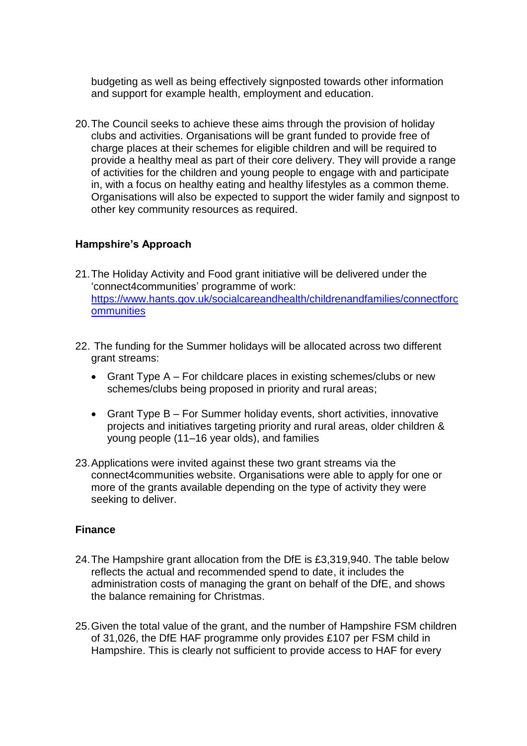budgeting as well as being effectively signposted towards other information and support for example health, employment and education.

20.The Council seeks to achieve these aims through the provision of holiday clubs and activities. Organisations will be grant funded to provide free of charge places at their schemes for eligible children and will be required to provide a healthy meal as part of their core delivery. They will provide a range of activities for the children and young people to engage with and participate in, with a focus on healthy eating and healthy lifestyles as a common theme. Organisations will also be expected to support the wider family and signpost to other key community resources as required.

### **Hampshire's Approach**

- 21.The Holiday Activity and Food grant initiative will be delivered under the 'connect4communities' programme of work: [https://www.hants.gov.uk/socialcareandhealth/childrenandfamilies/connectforc](https://www.hants.gov.uk/socialcareandhealth/childrenandfamilies/connectforcommunities) **[ommunities](https://www.hants.gov.uk/socialcareandhealth/childrenandfamilies/connectforcommunities)**
- 22. The funding for the Summer holidays will be allocated across two different grant streams:
	- Grant Type A For childcare places in existing schemes/clubs or new schemes/clubs being proposed in priority and rural areas;
	- Grant Type B For Summer holiday events, short activities, innovative projects and initiatives targeting priority and rural areas, older children & young people (11–16 year olds), and families
- 23.Applications were invited against these two grant streams via the connect4communities website. Organisations were able to apply for one or more of the grants available depending on the type of activity they were seeking to deliver.

### **Finance**

- 24.The Hampshire grant allocation from the DfE is £3,319,940. The table below reflects the actual and recommended spend to date, it includes the administration costs of managing the grant on behalf of the DfE, and shows the balance remaining for Christmas.
- 25.Given the total value of the grant, and the number of Hampshire FSM children of 31,026, the DfE HAF programme only provides £107 per FSM child in Hampshire. This is clearly not sufficient to provide access to HAF for every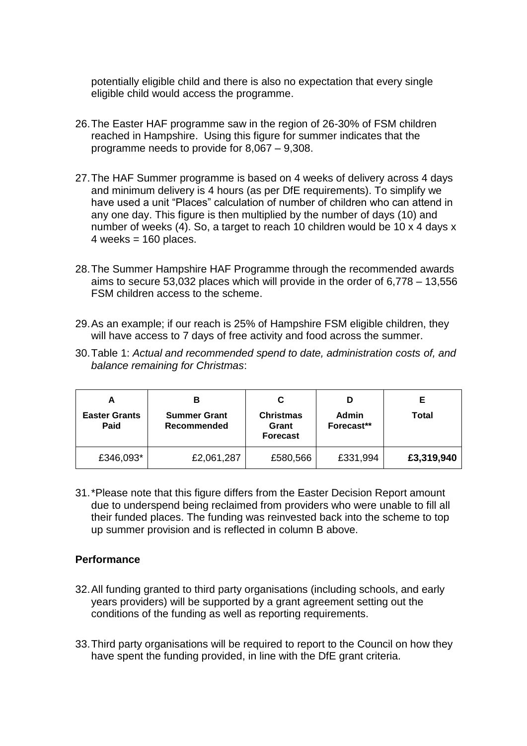potentially eligible child and there is also no expectation that every single eligible child would access the programme.

- 26.The Easter HAF programme saw in the region of 26-30% of FSM children reached in Hampshire. Using this figure for summer indicates that the programme needs to provide for 8,067 – 9,308.
- 27.The HAF Summer programme is based on 4 weeks of delivery across 4 days and minimum delivery is 4 hours (as per DfE requirements). To simplify we have used a unit "Places" calculation of number of children who can attend in any one day. This figure is then multiplied by the number of days (10) and number of weeks (4). So, a target to reach 10 children would be 10 x 4 days x  $4$  weeks = 160 places.
- 28.The Summer Hampshire HAF Programme through the recommended awards aims to secure 53,032 places which will provide in the order of 6,778 – 13,556 FSM children access to the scheme.
- 29.As an example; if our reach is 25% of Hampshire FSM eligible children, they will have access to 7 days of free activity and food across the summer.
- 30.Table 1: *Actual and recommended spend to date, administration costs of, and balance remaining for Christmas*:

| Ë<br><b>Easter Grants</b><br>Paid | <b>Summer Grant</b><br>Recommended | <b>Christmas</b><br>Grant<br><b>Forecast</b> | <b>Admin</b><br>Forecast** | E.<br>Total |
|-----------------------------------|------------------------------------|----------------------------------------------|----------------------------|-------------|
| £346,093*                         | £2,061,287                         | £580,566                                     | £331,994                   | £3,319,940  |

31.\*Please note that this figure differs from the Easter Decision Report amount due to underspend being reclaimed from providers who were unable to fill all their funded places. The funding was reinvested back into the scheme to top up summer provision and is reflected in column B above.

### **Performance**

- 32.All funding granted to third party organisations (including schools, and early years providers) will be supported by a grant agreement setting out the conditions of the funding as well as reporting requirements.
- 33.Third party organisations will be required to report to the Council on how they have spent the funding provided, in line with the DfE grant criteria.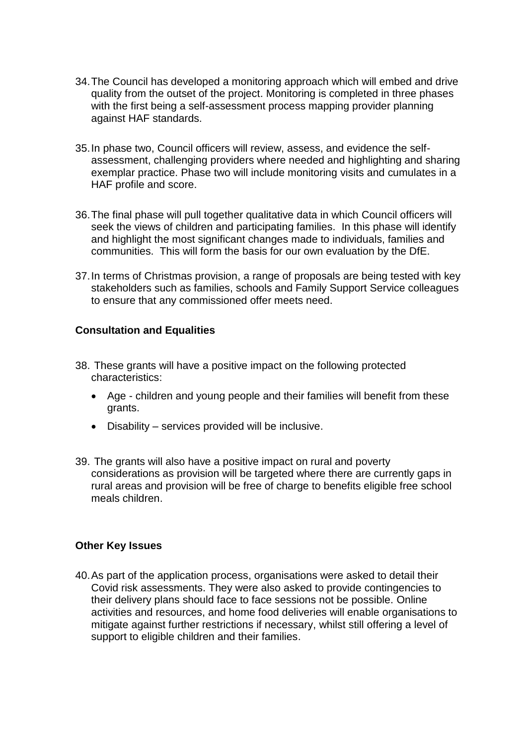- 34.The Council has developed a monitoring approach which will embed and drive quality from the outset of the project. Monitoring is completed in three phases with the first being a self-assessment process mapping provider planning against HAF standards.
- 35.In phase two, Council officers will review, assess, and evidence the selfassessment, challenging providers where needed and highlighting and sharing exemplar practice. Phase two will include monitoring visits and cumulates in a HAF profile and score.
- 36.The final phase will pull together qualitative data in which Council officers will seek the views of children and participating families. In this phase will identify and highlight the most significant changes made to individuals, families and communities. This will form the basis for our own evaluation by the DfE.
- 37.In terms of Christmas provision, a range of proposals are being tested with key stakeholders such as families, schools and Family Support Service colleagues to ensure that any commissioned offer meets need.

### **Consultation and Equalities**

- 38. These grants will have a positive impact on the following protected characteristics:
	- Age children and young people and their families will benefit from these grants.
	- Disability services provided will be inclusive.
- 39. The grants will also have a positive impact on rural and poverty considerations as provision will be targeted where there are currently gaps in rural areas and provision will be free of charge to benefits eligible free school meals children.

### **Other Key Issues**

40.As part of the application process, organisations were asked to detail their Covid risk assessments. They were also asked to provide contingencies to their delivery plans should face to face sessions not be possible. Online activities and resources, and home food deliveries will enable organisations to mitigate against further restrictions if necessary, whilst still offering a level of support to eligible children and their families.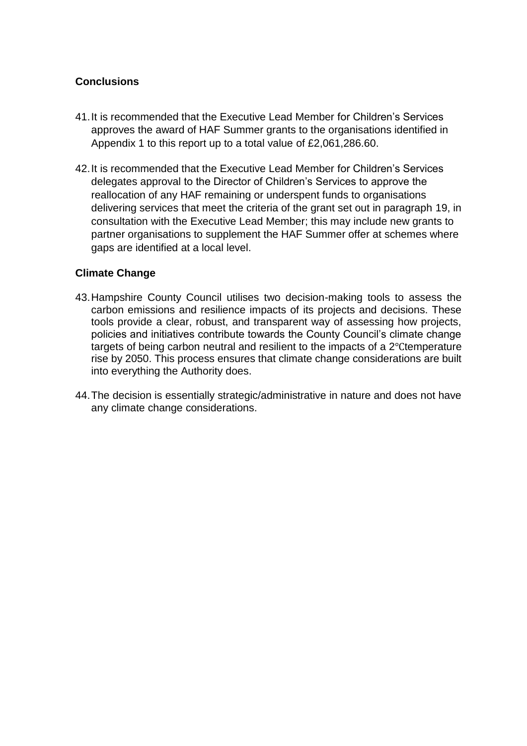### **Conclusions**

- 41.It is recommended that the Executive Lead Member for Children's Services approves the award of HAF Summer grants to the organisations identified in Appendix 1 to this report up to a total value of £2,061,286.60.
- 42.It is recommended that the Executive Lead Member for Children's Services delegates approval to the Director of Children's Services to approve the reallocation of any HAF remaining or underspent funds to organisations delivering services that meet the criteria of the grant set out in paragraph 19, in consultation with the Executive Lead Member; this may include new grants to partner organisations to supplement the HAF Summer offer at schemes where gaps are identified at a local level.

### **Climate Change**

- 43.Hampshire County Council utilises two decision-making tools to assess the carbon emissions and resilience impacts of its projects and decisions. These tools provide a clear, robust, and transparent way of assessing how projects, policies and initiatives contribute towards the County Council's climate change targets of being carbon neutral and resilient to the impacts of a 2℃temperature rise by 2050. This process ensures that climate change considerations are built into everything the Authority does.
- 44.The decision is essentially strategic/administrative in nature and does not have any climate change considerations.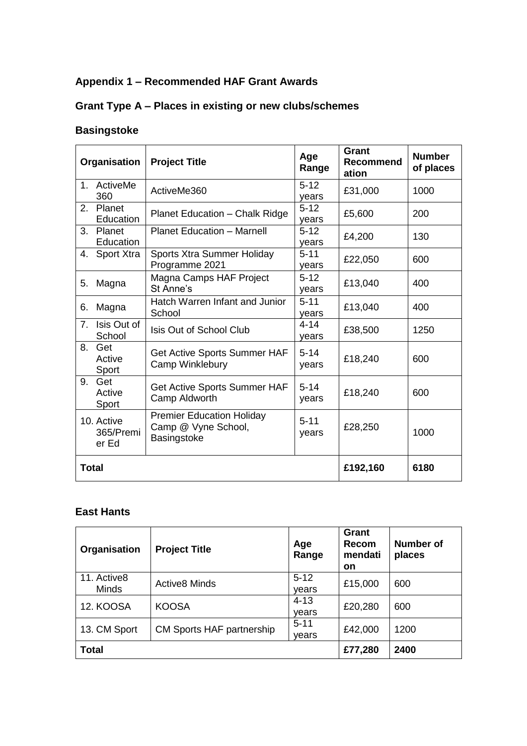## **Appendix 1 – Recommended HAF Grant Awards**

# **Grant Type A – Places in existing or new clubs/schemes**

## **Basingstoke**

| Organisation                     | <b>Project Title</b>                                                   | Age<br>Range      | Grant<br><b>Recommend</b><br>ation | <b>Number</b><br>of places |
|----------------------------------|------------------------------------------------------------------------|-------------------|------------------------------------|----------------------------|
| 1. ActiveMe<br>360               | ActiveMe360                                                            | $5 - 12$<br>years | £31,000                            | 1000                       |
| Planet<br>2.<br>Education        | <b>Planet Education - Chalk Ridge</b>                                  | $5 - 12$<br>years | £5,600                             | 200                        |
| 3.<br>Planet<br>Education        | <b>Planet Education - Marnell</b>                                      | $5 - 12$<br>years | £4,200                             | 130                        |
| <b>Sport Xtra</b><br>4.          | Sports Xtra Summer Holiday<br>Programme 2021                           | $5 - 11$<br>years | £22,050                            | 600                        |
| 5.<br>Magna                      | Magna Camps HAF Project<br>St Anne's                                   | $5 - 12$<br>years | £13,040                            | 400                        |
| Magna<br>6.                      | Hatch Warren Infant and Junior<br>School                               | $5 - 11$<br>years | £13,040                            | 400                        |
| Isis Out of<br>7.<br>School      | Isis Out of School Club                                                | $4 - 14$<br>years | £38,500                            | 1250                       |
| 8.<br>Get<br>Active<br>Sport     | Get Active Sports Summer HAF<br>Camp Winklebury                        | $5 - 14$<br>years | £18,240                            | 600                        |
| Get<br>9.<br>Active<br>Sport     | Get Active Sports Summer HAF<br>Camp Aldworth                          | $5 - 14$<br>years | £18,240                            | 600                        |
| 10. Active<br>365/Premi<br>er Ed | <b>Premier Education Holiday</b><br>Camp @ Vyne School,<br>Basingstoke | $5 - 11$<br>years | £28,250                            | 1000                       |
| <b>Total</b>                     |                                                                        |                   | £192,160                           | 6180                       |

### **East Hants**

| Organisation                | <b>Project Title</b>      | Age<br>Range      | Grant<br>Recom<br>mendati<br>on | <b>Number of</b><br>places |
|-----------------------------|---------------------------|-------------------|---------------------------------|----------------------------|
| 11. Active8<br><b>Minds</b> | <b>Active8 Minds</b>      | $5 - 12$<br>years | £15,000                         | 600                        |
| 12. KOOSA                   | <b>KOOSA</b>              | $4 - 13$<br>vears | £20,280                         | 600                        |
| 13. CM Sport                | CM Sports HAF partnership | $5 - 11$<br>vears | £42,000                         | 1200                       |
| Total                       |                           |                   | £77,280                         | 2400                       |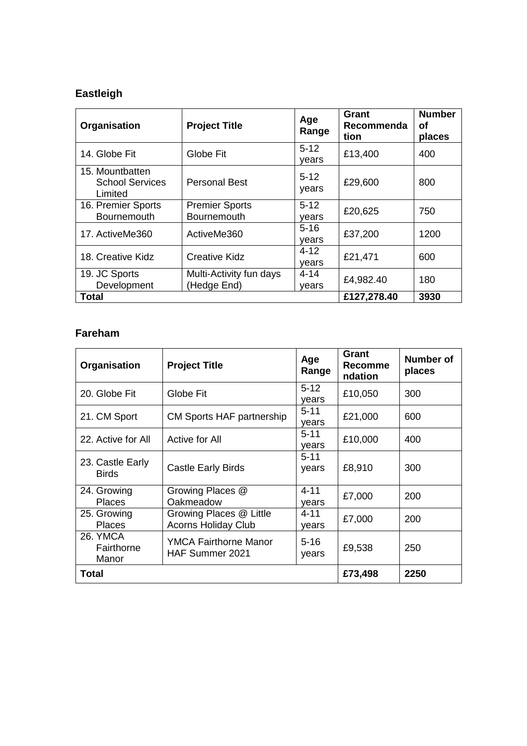# **Eastleigh**

| Organisation                                         | <b>Project Title</b>                   | Age<br>Range      | Grant<br>Recommenda<br>tion | <b>Number</b><br>оf<br>places |
|------------------------------------------------------|----------------------------------------|-------------------|-----------------------------|-------------------------------|
| 14. Globe Fit                                        | Globe Fit                              | $5 - 12$<br>vears | £13,400                     | 400                           |
| 15. Mountbatten<br><b>School Services</b><br>Limited | <b>Personal Best</b>                   | $5 - 12$<br>years | £29,600                     | 800                           |
| 16. Premier Sports<br><b>Bournemouth</b>             | <b>Premier Sports</b><br>Bournemouth   | $5-12$<br>vears   | £20,625                     | 750                           |
| 17. ActiveMe360                                      | ActiveMe360                            | $5 - 16$<br>vears | £37,200                     | 1200                          |
| 18. Creative Kidz                                    | <b>Creative Kidz</b>                   | $4 - 12$<br>vears | £21,471                     | 600                           |
| 19. JC Sports<br>Development                         | Multi-Activity fun days<br>(Hedge End) | $4 - 14$<br>vears | £4,982.40                   | 180                           |
| Total                                                |                                        |                   | £127,278.40                 | 3930                          |

### **Fareham**

| Organisation                     | <b>Project Title</b>                                  | Age<br>Range      | Grant<br>Recomme<br>ndation | Number of<br>places |
|----------------------------------|-------------------------------------------------------|-------------------|-----------------------------|---------------------|
| 20. Globe Fit                    | Globe Fit                                             | $5 - 12$<br>vears | £10,050                     | 300                 |
| 21. CM Sport                     | CM Sports HAF partnership                             | $5 - 11$<br>years | £21,000                     | 600                 |
| 22. Active for All               | Active for All                                        | $5 - 11$<br>vears | £10,000                     | 400                 |
| 23. Castle Early<br><b>Birds</b> | <b>Castle Early Birds</b>                             | $5 - 11$<br>years | £8,910                      | 300                 |
| 24. Growing<br><b>Places</b>     | Growing Places @<br>Oakmeadow                         | $4 - 11$<br>vears | £7,000                      | 200                 |
| 25. Growing<br><b>Places</b>     | Growing Places @ Little<br><b>Acorns Holiday Club</b> | $4 - 11$<br>vears | £7,000                      | 200                 |
| 26. YMCA<br>Fairthorne<br>Manor  | YMCA Fairthorne Manor<br><b>HAF Summer 2021</b>       | $5 - 16$<br>years | £9,538                      | 250                 |
| Total                            |                                                       |                   | £73,498                     | 2250                |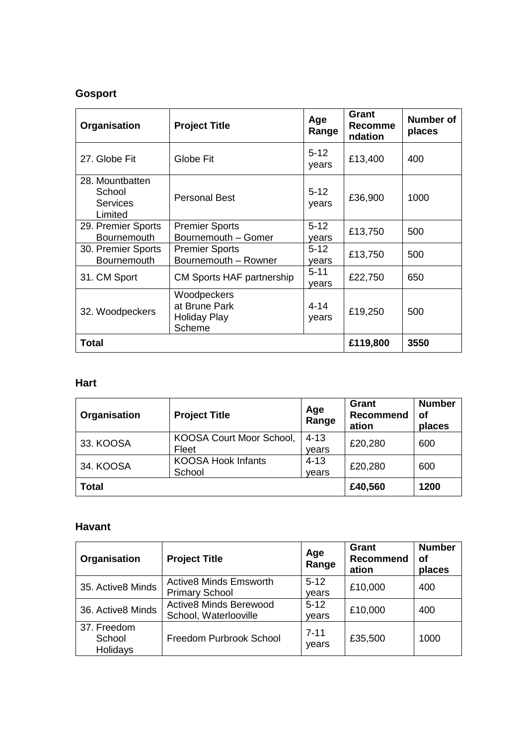## **Gosport**

| Organisation                                            | <b>Project Title</b>                                          | Age<br>Range      | Grant<br><b>Recomme</b><br>ndation | <b>Number of</b><br>places |
|---------------------------------------------------------|---------------------------------------------------------------|-------------------|------------------------------------|----------------------------|
| 27. Globe Fit                                           | Globe Fit                                                     | $5 - 12$<br>years | £13,400                            | 400                        |
| 28. Mountbatten<br>School<br><b>Services</b><br>Limited | <b>Personal Best</b>                                          | $5 - 12$<br>years | £36,900                            | 1000                       |
| 29. Premier Sports<br><b>Bournemouth</b>                | <b>Premier Sports</b><br>Bournemouth - Gomer                  | $5-12$<br>vears   | £13,750                            | 500                        |
| 30. Premier Sports<br><b>Bournemouth</b>                | <b>Premier Sports</b><br>Bournemouth - Rowner                 | $5 - 12$<br>vears | £13,750                            | 500                        |
| 31. CM Sport                                            | CM Sports HAF partnership                                     | $5 - 11$<br>vears | £22,750                            | 650                        |
| 32. Woodpeckers                                         | Woodpeckers<br>at Brune Park<br><b>Holiday Play</b><br>Scheme | $4 - 14$<br>years | £19,250                            | 500                        |
| <b>Total</b>                                            |                                                               | £119,800          | 3550                               |                            |

### **Hart**

| Organisation | <b>Project Title</b>                | Age<br>Range      | <b>Grant</b><br><b>Recommend</b><br>ation | <b>Number</b><br>οf<br>places |
|--------------|-------------------------------------|-------------------|-------------------------------------------|-------------------------------|
| 33. KOOSA    | KOOSA Court Moor School,<br>Fleet   | $4 - 13$<br>vears | £20,280                                   | 600                           |
| 34. KOOSA    | <b>KOOSA Hook Infants</b><br>School | $4 - 13$<br>vears | £20,280                                   | 600                           |
| <b>Total</b> |                                     |                   | £40,560                                   | 1200                          |

### **Havant**

| Organisation                      | <b>Project Title</b>                                   | Age<br>Range      | Grant<br><b>Recommend</b><br>ation | <b>Number</b><br>οf<br>places |
|-----------------------------------|--------------------------------------------------------|-------------------|------------------------------------|-------------------------------|
| 35. Active8 Minds                 | <b>Active8 Minds Emsworth</b><br><b>Primary School</b> | $5-12$<br>vears   | £10,000                            | 400                           |
| 36. Active8 Minds                 | <b>Active8 Minds Berewood</b><br>School, Waterlooville | $5-12$<br>vears   | £10,000                            | 400                           |
| 37. Freedom<br>School<br>Holidays | Freedom Purbrook School                                | $7 - 11$<br>years | £35,500                            | 1000                          |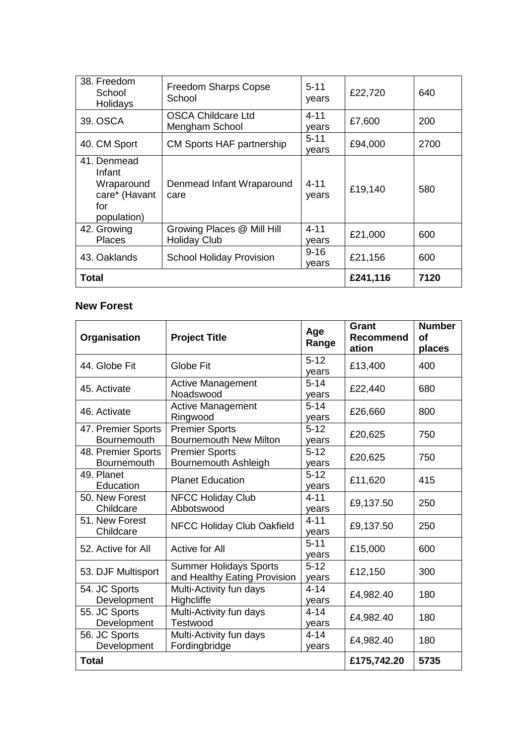| 38. Freedom<br>School<br>Holidays                                          | <b>Freedom Sharps Copse</b><br>School             | $5 - 11$<br>years | £22,720  | 640  |
|----------------------------------------------------------------------------|---------------------------------------------------|-------------------|----------|------|
| 39. OSCA                                                                   | <b>OSCA Childcare Ltd</b><br>Mengham School       | $4 - 11$<br>vears | £7,600   | 200  |
| 40. CM Sport                                                               | CM Sports HAF partnership                         | $5 - 11$<br>vears | £94,000  | 2700 |
| 41. Denmead<br>Infant<br>Wraparound<br>care* (Havant<br>for<br>population) | Denmead Infant Wraparound<br>care                 | $4 - 11$<br>years | £19,140  | 580  |
| 42. Growing<br><b>Places</b>                                               | Growing Places @ Mill Hill<br><b>Holiday Club</b> | $4 - 11$<br>years | £21,000  | 600  |
| 43. Oaklands                                                               | <b>School Holiday Provision</b>                   | $9 - 16$<br>vears | £21,156  | 600  |
| Total                                                                      |                                                   |                   | £241,116 | 7120 |

## **New Forest**

| Organisation                             | <b>Project Title</b>                                          | Age<br>Range      | Grant<br><b>Recommend</b><br>ation | <b>Number</b><br>οf<br>places |
|------------------------------------------|---------------------------------------------------------------|-------------------|------------------------------------|-------------------------------|
| 44. Globe Fit                            | Globe Fit                                                     | $5 - 12$<br>years | £13,400                            | 400                           |
| 45. Activate                             | <b>Active Management</b><br>Noadswood                         | $5 - 14$<br>years | £22,440                            | 680                           |
| 46. Activate                             | Active Management<br>Ringwood                                 | $5 - 14$<br>vears | £26,660                            | 800                           |
| 47. Premier Sports<br><b>Bournemouth</b> | <b>Premier Sports</b><br><b>Bournemouth New Milton</b>        | $5 - 12$<br>vears | £20,625                            | 750                           |
| 48. Premier Sports<br><b>Bournemouth</b> | <b>Premier Sports</b><br>Bournemouth Ashleigh                 | $5 - 12$<br>years | £20,625                            | 750                           |
| 49. Planet<br>Education                  | <b>Planet Education</b>                                       | $5 - 12$<br>years | £11,620                            | 415                           |
| 50. New Forest<br>Childcare              | <b>NFCC Holiday Club</b><br>Abbotswood                        | $4 - 11$<br>years | £9,137.50                          | 250                           |
| 51. New Forest<br>Childcare              | NFCC Holiday Club Oakfield                                    | $4 - 11$<br>years | £9,137.50                          | 250                           |
| 52. Active for All                       | Active for All                                                | $5 - 11$<br>vears | £15,000                            | 600                           |
| 53. DJF Multisport                       | <b>Summer Holidays Sports</b><br>and Healthy Eating Provision | $5 - 12$<br>years | £12,150                            | 300                           |
| 54. JC Sports<br>Development             | Multi-Activity fun days<br>Highcliffe                         | $4 - 14$<br>years | £4,982.40                          | 180                           |
| 55. JC Sports<br>Development             | Multi-Activity fun days<br>Testwood                           | $4 - 14$<br>years | £4,982.40                          | 180                           |
| 56. JC Sports<br>Development             | Multi-Activity fun days<br>Fordingbridge                      | $4 - 14$<br>years | £4,982.40                          | 180                           |
| <b>Total</b>                             |                                                               |                   | £175,742.20                        | 5735                          |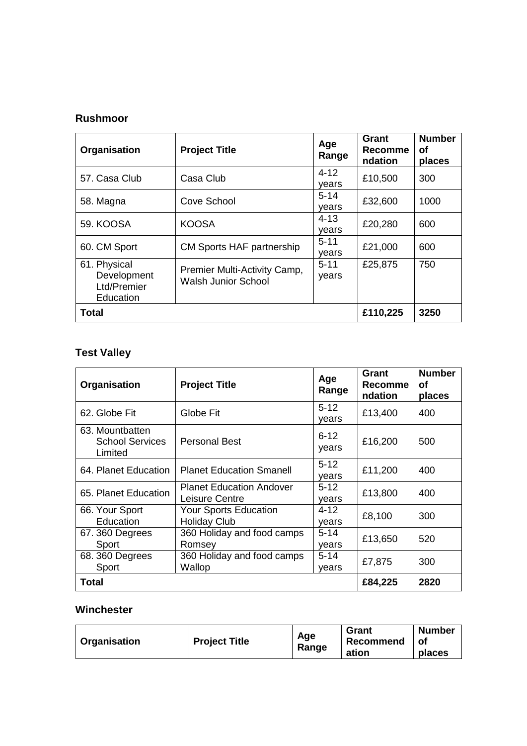## **Rushmoor**

| Organisation                                            | <b>Project Title</b>                                       | Age<br>Range      | Grant<br>Recomme<br>ndation | <b>Number</b><br>οf<br>places |
|---------------------------------------------------------|------------------------------------------------------------|-------------------|-----------------------------|-------------------------------|
| 57. Casa Club                                           | Casa Club                                                  | $4 - 12$<br>vears | £10,500                     | 300                           |
| 58. Magna                                               | Cove School                                                | $5 - 14$<br>vears | £32,600                     | 1000                          |
| 59. KOOSA                                               | <b>KOOSA</b>                                               | $4 - 13$<br>vears | £20,280                     | 600                           |
| 60. CM Sport                                            | <b>CM Sports HAF partnership</b>                           | $5 - 11$<br>vears | £21,000                     | 600                           |
| 61. Physical<br>Development<br>Ltd/Premier<br>Education | Premier Multi-Activity Camp,<br><b>Walsh Junior School</b> | $5 - 11$<br>years | £25,875                     | 750                           |
| <b>Total</b>                                            |                                                            |                   | £110,225                    | 3250                          |

## **Test Valley**

| Organisation                                         | <b>Project Title</b>                                | Age<br>Range      | Grant<br><b>Recomme</b><br>ndation | <b>Number</b><br>Οf<br>places |
|------------------------------------------------------|-----------------------------------------------------|-------------------|------------------------------------|-------------------------------|
| 62. Globe Fit                                        | Globe Fit                                           | $5 - 12$<br>vears | £13,400                            | 400                           |
| 63. Mountbatten<br><b>School Services</b><br>Limited | <b>Personal Best</b>                                | $6 - 12$<br>years | £16,200                            | 500                           |
| 64. Planet Education                                 | <b>Planet Education Smanell</b>                     | $5-12$<br>vears   | £11,200                            | 400                           |
| 65. Planet Education                                 | <b>Planet Education Andover</b><br>Leisure Centre   | $5 - 12$<br>vears | £13,800                            | 400                           |
| 66. Your Sport<br>Education                          | <b>Your Sports Education</b><br><b>Holiday Club</b> | 4-12<br>vears     | £8,100                             | 300                           |
| 67.360 Degrees<br>Sport                              | 360 Holiday and food camps<br>Romsey                | $5-14$<br>vears   | £13,650                            | 520                           |
| 68.360 Degrees<br>Sport                              | 360 Holiday and food camps<br>Wallop                | $5 - 14$<br>vears | £7,875                             | 300                           |
| Total                                                |                                                     |                   | £84,225                            | 2820                          |

## **Winchester**

| Organisation | <b>Project Title</b> | Age<br>Range | Grant<br>Recommend<br>ation | <b>Number</b><br>Οl<br>places |
|--------------|----------------------|--------------|-----------------------------|-------------------------------|
|--------------|----------------------|--------------|-----------------------------|-------------------------------|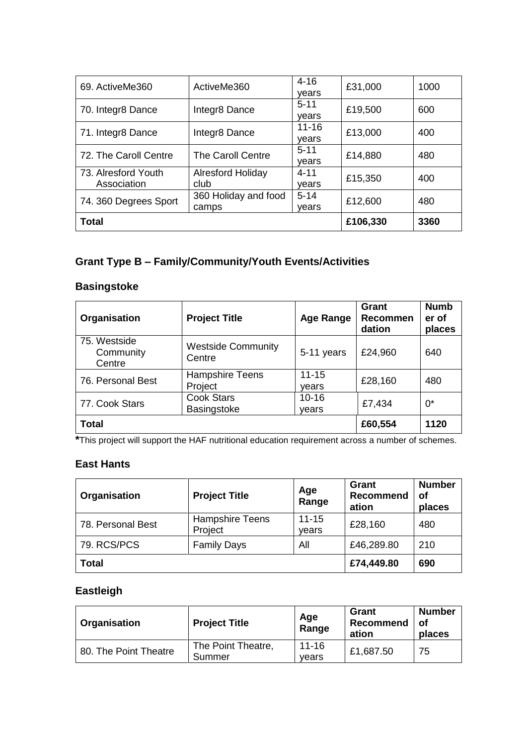| 69. ActiveMe360                    | ActiveMe360                      | $4 - 16$<br>vears  | £31,000  | 1000 |
|------------------------------------|----------------------------------|--------------------|----------|------|
| 70. Integr8 Dance                  | Integr8 Dance                    | $5 - 11$<br>vears  | £19,500  | 600  |
| 71. Integr8 Dance                  | Integr8 Dance                    | $11 - 16$<br>vears | £13,000  | 400  |
| 72. The Caroll Centre              | <b>The Caroll Centre</b>         | $5 - 11$<br>vears  | £14,880  | 480  |
| 73. Alresford Youth<br>Association | <b>Alresford Holiday</b><br>club | $4 - 11$<br>vears  | £15,350  | 400  |
| 74. 360 Degrees Sport              | 360 Holiday and food<br>camps    | $5 - 14$<br>vears  | £12,600  | 480  |
| Total                              |                                  |                    | £106,330 | 3360 |

## **Grant Type B – Family/Community/Youth Events/Activities**

### **Basingstoke**

| Organisation                        | <b>Project Title</b>                | <b>Age Range</b>   | Grant<br><b>Recommen</b><br>dation | <b>Numb</b><br>er of<br>places |
|-------------------------------------|-------------------------------------|--------------------|------------------------------------|--------------------------------|
| 75. Westside<br>Community<br>Centre | <b>Westside Community</b><br>Centre | 5-11 years         | £24,960                            | 640                            |
| 76. Personal Best                   | <b>Hampshire Teens</b><br>Project   | $11 - 15$<br>vears | £28,160                            | 480                            |
| 77. Cook Stars                      | <b>Cook Stars</b><br>Basingstoke    | $10 - 16$<br>vears | £7,434                             | $0^*$                          |
| Total                               |                                     |                    | £60,554                            | 1120                           |

**\***This project will support the HAF nutritional education requirement across a number of schemes.

## **East Hants**

| Organisation      | <b>Project Title</b>              | Age<br>Range       | Grant<br><b>Recommend</b><br>ation | <b>Number</b><br>οf<br>places |
|-------------------|-----------------------------------|--------------------|------------------------------------|-------------------------------|
| 78. Personal Best | <b>Hampshire Teens</b><br>Project | $11 - 15$<br>vears | £28,160                            | 480                           |
| 79. RCS/PCS       | <b>Family Days</b>                | All                | £46,289.80                         | 210                           |
| <b>Total</b>      |                                   |                    | £74,449.80                         | 690                           |

## **Eastleigh**

| Organisation          | <b>Project Title</b>         | Age<br>Range       | Grant<br>Recommend<br>ation | <b>Number</b><br>οf<br>places |
|-----------------------|------------------------------|--------------------|-----------------------------|-------------------------------|
| 80. The Point Theatre | The Point Theatre,<br>Summer | $11 - 16$<br>vears | £1,687.50                   | 75                            |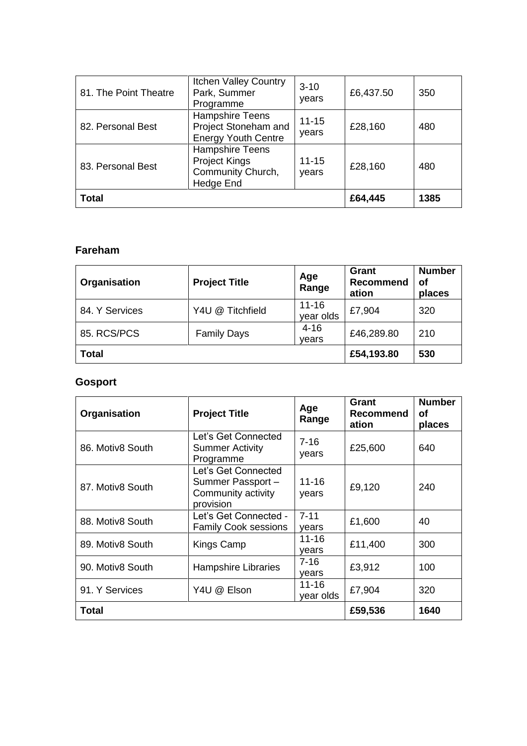| 81. The Point Theatre | <b>Itchen Valley Country</b><br>Park, Summer<br>Programme                    | $3 - 10$<br>years  | £6,437.50 | 350  |
|-----------------------|------------------------------------------------------------------------------|--------------------|-----------|------|
| 82. Personal Best     | <b>Hampshire Teens</b><br>Project Stoneham and<br><b>Energy Youth Centre</b> | $11 - 15$<br>years | £28,160   | 480  |
| 83. Personal Best     | Hampshire Teens<br><b>Project Kings</b><br>Community Church,<br>Hedge End    | $11 - 15$<br>years | £28,160   | 480  |
| <b>Total</b>          |                                                                              |                    | £64,445   | 1385 |

## **Fareham**

| Organisation   | <b>Project Title</b> | Age<br>Range           | <b>Grant</b><br><b>Recommend</b><br>ation | <b>Number</b><br>оf<br>places |
|----------------|----------------------|------------------------|-------------------------------------------|-------------------------------|
| 84. Y Services | Y4U @ Titchfield     | $11 - 16$<br>year olds | £7,904                                    | 320                           |
| 85. RCS/PCS    | <b>Family Days</b>   | $4 - 16$<br>vears      | £46,289.80                                | 210                           |
| <b>Total</b>   |                      |                        | £54,193.80                                | 530                           |

# **Gosport**

| Organisation     | <b>Project Title</b>                                                       | Age<br>Range       | Grant<br><b>Recommend</b><br>ation | <b>Number</b><br>оf<br>places |
|------------------|----------------------------------------------------------------------------|--------------------|------------------------------------|-------------------------------|
| 86. Motiv8 South | Let's Get Connected<br><b>Summer Activity</b><br>Programme                 | $7 - 16$<br>years  | £25,600                            | 640                           |
| 87. Motiv8 South | Let's Get Connected<br>Summer Passport-<br>Community activity<br>provision | $11 - 16$<br>years | £9,120                             | 240                           |
| 88. Motiv8 South | Let's Get Connected -<br><b>Family Cook sessions</b>                       | $7 - 11$<br>vears  | £1,600                             | 40                            |
| 89. Motiv8 South | Kings Camp                                                                 | 11-16<br>vears     | £11,400                            | 300                           |
| 90. Motiv8 South | <b>Hampshire Libraries</b>                                                 | $7 - 16$<br>vears  | £3,912                             | 100                           |
| 91. Y Services   | Y4U @ Elson                                                                | 11-16<br>year olds | £7,904                             | 320                           |
| Total            |                                                                            |                    | £59,536                            | 1640                          |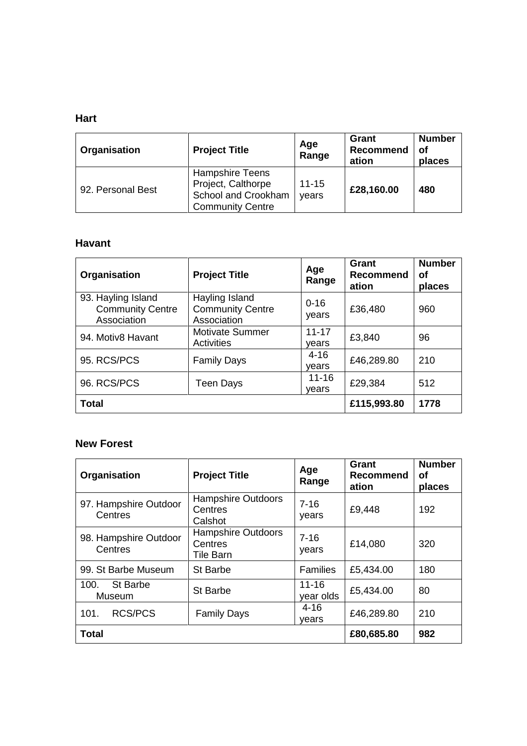## **Hart**

| Organisation      | <b>Project Title</b>                                                                           | Age<br>Range       | Grant<br><b>Recommend</b><br>ation | <b>Number</b><br>οf<br>places |
|-------------------|------------------------------------------------------------------------------------------------|--------------------|------------------------------------|-------------------------------|
| 92. Personal Best | <b>Hampshire Teens</b><br>Project, Calthorpe<br>School and Crookham<br><b>Community Centre</b> | $11 - 15$<br>years | £28,160.00                         | 480                           |

### **Havant**

| Organisation                                                 | <b>Project Title</b>                                     | Age<br>Range       | Grant<br><b>Recommend</b><br>ation | <b>Number</b><br>оf<br>places |
|--------------------------------------------------------------|----------------------------------------------------------|--------------------|------------------------------------|-------------------------------|
| 93. Hayling Island<br><b>Community Centre</b><br>Association | Hayling Island<br><b>Community Centre</b><br>Association | $0 - 16$<br>years  | £36,480                            | 960                           |
| 94. Motiv8 Havant                                            | <b>Motivate Summer</b><br>Activities                     | $11 - 17$<br>vears | £3,840                             | 96                            |
| 95. RCS/PCS                                                  | <b>Family Days</b>                                       | $4 - 16$<br>vears  | £46,289.80                         | 210                           |
| 96. RCS/PCS                                                  | Teen Days                                                | $11 - 16$<br>vears | £29,384                            | 512                           |
| <b>Total</b>                                                 |                                                          |                    | £115,993.80                        | 1778                          |

## **New Forest**

| Organisation                     | <b>Project Title</b>                              | Age<br>Range           | Grant<br><b>Recommend</b><br>ation | <b>Number</b><br>οf<br>places |
|----------------------------------|---------------------------------------------------|------------------------|------------------------------------|-------------------------------|
| 97. Hampshire Outdoor<br>Centres | <b>Hampshire Outdoors</b><br>Centres<br>Calshot   | $7 - 16$<br>years      | £9,448                             | 192                           |
| 98. Hampshire Outdoor<br>Centres | <b>Hampshire Outdoors</b><br>Centres<br>Tile Barn | $7 - 16$<br>years      | £14,080                            | 320                           |
| 99. St Barbe Museum              | <b>St Barbe</b>                                   | <b>Families</b>        | £5,434.00                          | 180                           |
| St Barbe<br>100.<br>Museum       | <b>St Barbe</b>                                   | $11 - 16$<br>year olds | £5,434.00                          | 80                            |
| <b>RCS/PCS</b><br>101.           | <b>Family Days</b>                                | $4 - 16$<br>vears      | £46,289.80                         | 210                           |
| <b>Total</b>                     |                                                   |                        | £80,685.80                         | 982                           |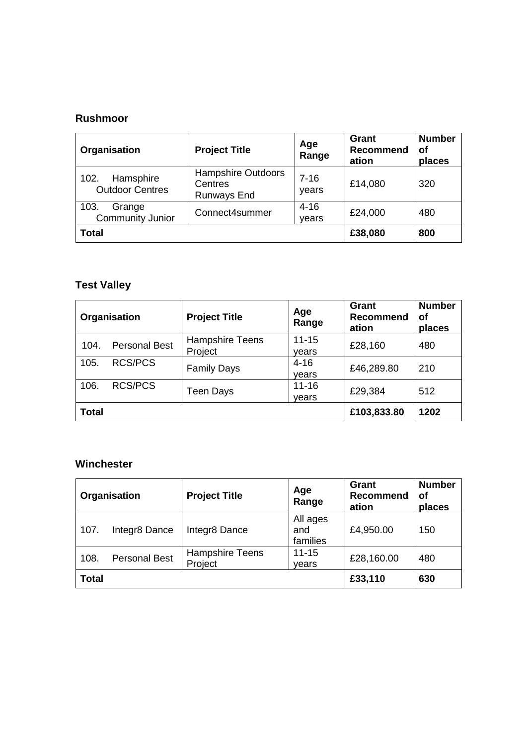### **Rushmoor**

| Organisation                                | <b>Project Title</b>                                       | Age<br>Range      | Grant<br><b>Recommend</b><br>ation | <b>Number</b><br>οf<br>places |
|---------------------------------------------|------------------------------------------------------------|-------------------|------------------------------------|-------------------------------|
| Hamsphire<br>102.<br><b>Outdoor Centres</b> | <b>Hampshire Outdoors</b><br>Centres<br><b>Runways End</b> | $7 - 16$<br>years | £14,080                            | 320                           |
| 103.<br>Grange<br><b>Community Junior</b>   | Connect4summer                                             | $4 - 16$<br>vears | £24,000                            | 480                           |
| <b>Total</b>                                |                                                            |                   | £38,080                            | 800                           |

# **Test Valley**

|              | Organisation         | <b>Project Title</b>              | Age<br>Range       | Grant<br><b>Recommend</b><br>ation | <b>Number</b><br>оf<br>places |
|--------------|----------------------|-----------------------------------|--------------------|------------------------------------|-------------------------------|
| 104.         | <b>Personal Best</b> | <b>Hampshire Teens</b><br>Project | $11 - 15$<br>vears | £28,160                            | 480                           |
| 105.         | <b>RCS/PCS</b>       | <b>Family Days</b>                | $4 - 16$<br>vears  | £46,289.80                         | 210                           |
| 106.         | <b>RCS/PCS</b>       | Teen Days                         | $11 - 16$<br>vears | £29,384                            | 512                           |
| <b>Total</b> |                      |                                   |                    | £103,833.80                        | 1202                          |

## **Winchester**

|              | Organisation         | <b>Project Title</b>              | Age<br>Range                | <b>Grant</b><br><b>Recommend</b><br>ation | <b>Number</b><br>οf<br>places |
|--------------|----------------------|-----------------------------------|-----------------------------|-------------------------------------------|-------------------------------|
| 107.         | Integr8 Dance        | Integr8 Dance                     | All ages<br>and<br>families | £4,950.00                                 | 150                           |
| 108.         | <b>Personal Best</b> | <b>Hampshire Teens</b><br>Project | $11 - 15$<br>years          | £28,160.00                                | 480                           |
| <b>Total</b> |                      |                                   |                             | £33,110                                   | 630                           |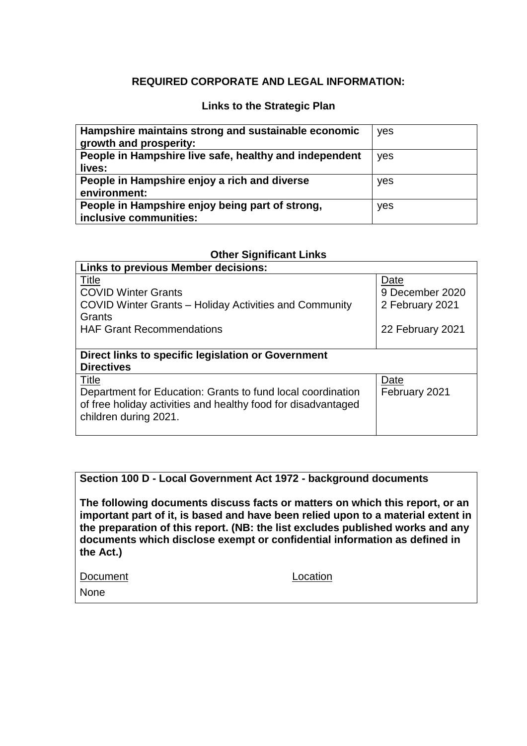### **REQUIRED CORPORATE AND LEGAL INFORMATION:**

#### **Links to the Strategic Plan**

| Hampshire maintains strong and sustainable economic<br>growth and prosperity: | yes |
|-------------------------------------------------------------------------------|-----|
| People in Hampshire live safe, healthy and independent<br>lives:              | yes |
| People in Hampshire enjoy a rich and diverse<br>environment:                  | yes |
| People in Hampshire enjoy being part of strong,<br>inclusive communities:     | yes |

#### **Other Significant Links**

| <b>Links to previous Member decisions:</b>                    |                  |  |  |  |
|---------------------------------------------------------------|------------------|--|--|--|
| Title                                                         | Date             |  |  |  |
| <b>COVID Winter Grants</b>                                    | 9 December 2020  |  |  |  |
| COVID Winter Grants – Holiday Activities and Community        | 2 February 2021  |  |  |  |
| Grants                                                        |                  |  |  |  |
| <b>HAF Grant Recommendations</b>                              | 22 February 2021 |  |  |  |
|                                                               |                  |  |  |  |
| Direct links to specific legislation or Government            |                  |  |  |  |
| <b>Directives</b>                                             |                  |  |  |  |
| Title                                                         | Date             |  |  |  |
| Department for Education: Grants to fund local coordination   | February 2021    |  |  |  |
| of free holiday activities and healthy food for disadvantaged |                  |  |  |  |
| children during 2021.                                         |                  |  |  |  |
|                                                               |                  |  |  |  |

#### **Section 100 D - Local Government Act 1972 - background documents**

**The following documents discuss facts or matters on which this report, or an important part of it, is based and have been relied upon to a material extent in the preparation of this report. (NB: the list excludes published works and any documents which disclose exempt or confidential information as defined in the Act.)**

Document Location

None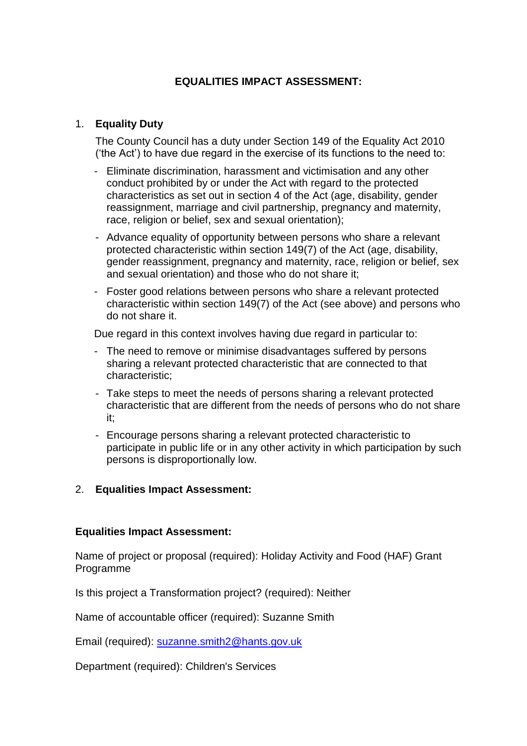## **EQUALITIES IMPACT ASSESSMENT:**

### 1. **Equality Duty**

The County Council has a duty under Section 149 of the Equality Act 2010 ('the Act') to have due regard in the exercise of its functions to the need to:

- Eliminate discrimination, harassment and victimisation and any other conduct prohibited by or under the Act with regard to the protected characteristics as set out in section 4 of the Act (age, disability, gender reassignment, marriage and civil partnership, pregnancy and maternity, race, religion or belief, sex and sexual orientation);
- Advance equality of opportunity between persons who share a relevant protected characteristic within section 149(7) of the Act (age, disability, gender reassignment, pregnancy and maternity, race, religion or belief, sex and sexual orientation) and those who do not share it;
- Foster good relations between persons who share a relevant protected characteristic within section 149(7) of the Act (see above) and persons who do not share it.

Due regard in this context involves having due regard in particular to:

- The need to remove or minimise disadvantages suffered by persons sharing a relevant protected characteristic that are connected to that characteristic;
- Take steps to meet the needs of persons sharing a relevant protected characteristic that are different from the needs of persons who do not share it;
- Encourage persons sharing a relevant protected characteristic to participate in public life or in any other activity in which participation by such persons is disproportionally low.

### 2. **Equalities Impact Assessment:**

### **Equalities Impact Assessment:**

Name of project or proposal (required): Holiday Activity and Food (HAF) Grant Programme

Is this project a Transformation project? (required): Neither

Name of accountable officer (required): Suzanne Smith

Email (required): [suzanne.smith2@hants.gov.uk](mailto:suzanne.smith2@hants.gov.uk)

Department (required): Children's Services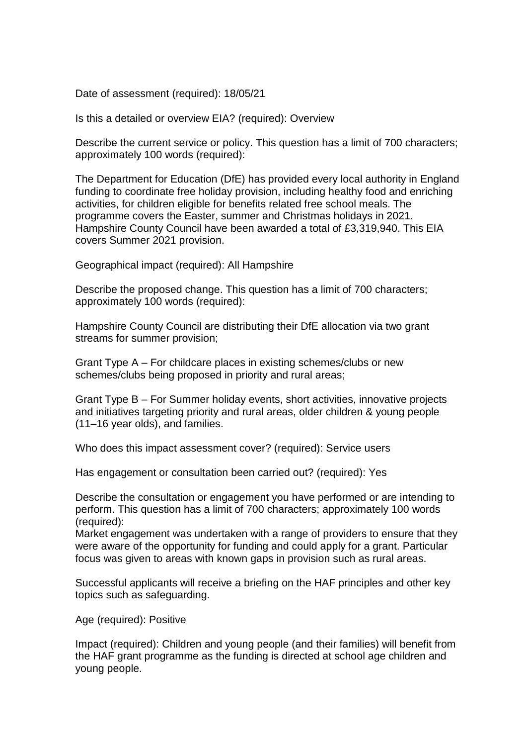Date of assessment (required): 18/05/21

Is this a detailed or overview EIA? (required): Overview

Describe the current service or policy. This question has a limit of 700 characters; approximately 100 words (required):

The Department for Education (DfE) has provided every local authority in England funding to coordinate free holiday provision, including healthy food and enriching activities, for children eligible for benefits related free school meals. The programme covers the Easter, summer and Christmas holidays in 2021. Hampshire County Council have been awarded a total of £3,319,940. This EIA covers Summer 2021 provision.

Geographical impact (required): All Hampshire

Describe the proposed change. This question has a limit of 700 characters; approximately 100 words (required):

Hampshire County Council are distributing their DfE allocation via two grant streams for summer provision;

Grant Type A – For childcare places in existing schemes/clubs or new schemes/clubs being proposed in priority and rural areas;

Grant Type B – For Summer holiday events, short activities, innovative projects and initiatives targeting priority and rural areas, older children & young people (11–16 year olds), and families.

Who does this impact assessment cover? (required): Service users

Has engagement or consultation been carried out? (required): Yes

Describe the consultation or engagement you have performed or are intending to perform. This question has a limit of 700 characters; approximately 100 words (required):

Market engagement was undertaken with a range of providers to ensure that they were aware of the opportunity for funding and could apply for a grant. Particular focus was given to areas with known gaps in provision such as rural areas.

Successful applicants will receive a briefing on the HAF principles and other key topics such as safeguarding.

Age (required): Positive

Impact (required): Children and young people (and their families) will benefit from the HAF grant programme as the funding is directed at school age children and young people.